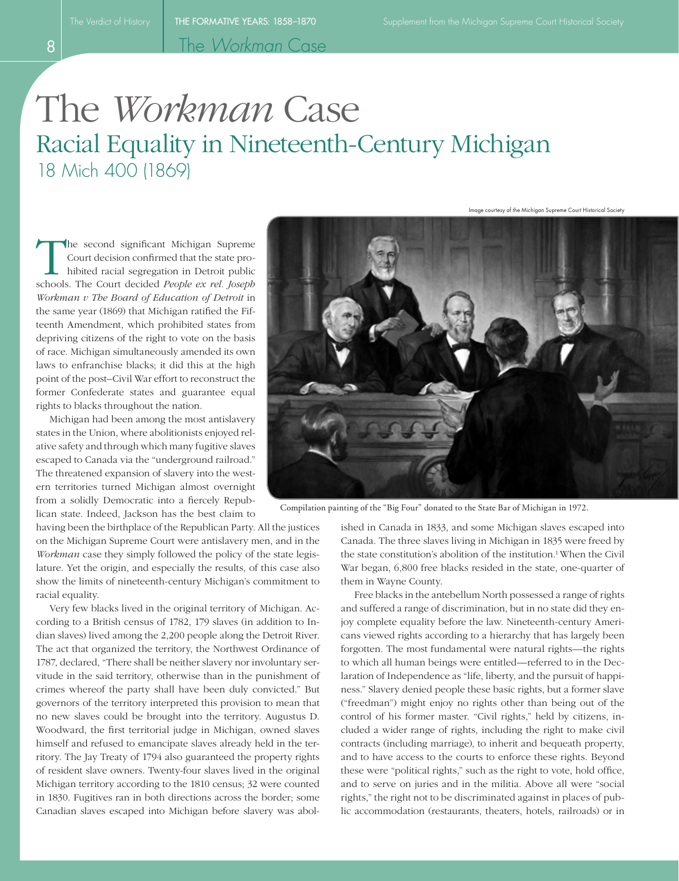The *Workman* Case

## The *Workman* Case Racial Equality in Nineteenth-Century Michigan 18 Mich 400 (1869)

The second significant Michigan Supreme<br>Court decision confirmed that the state pro-<br>hibited racial segregation in Detroit public<br>schools. The Court decided *People ex rel*, Joseph Court decision confirmed that the state prohibited racial segregation in Detroit public schools. The Court decided *People ex rel. Joseph Workman v The Board of Education of Detroit* in the same year (1869) that Michigan ratified the Fifteenth Amendment, which prohibited states from depriving citizens of the right to vote on the basis of race. Michigan simultaneously amended its own laws to enfranchise blacks; it did this at the high point of the post–Civil War effort to reconstruct the former Confederate states and guarantee equal rights to blacks throughout the nation.

Michigan had been among the most antislavery states in the Union, where abolitionists enjoyed relative safety and through which many fugitive slaves escaped to Canada via the "underground railroad." The threatened expansion of slavery into the western territories turned Michigan almost overnight from a solidly Democratic into a fiercely Republican state. Indeed, Jackson has the best claim to

having been the birthplace of the Republican Party. All the justices on the Michigan Supreme Court were antislavery men, and in the *Workman* case they simply followed the policy of the state legislature. Yet the origin, and especially the results, of this case also show the limits of nineteenth-century Michigan's commitment to racial equality.

Very few blacks lived in the original territory of Michigan. According to a British census of 1782, 179 slaves (in addition to Indian slaves) lived among the 2,200 people along the Detroit River. The act that organized the territory, the Northwest Ordinance of 1787, declared, "There shall be neither slavery nor involuntary servitude in the said territory, otherwise than in the punishment of crimes whereof the party shall have been duly convicted." But governors of the territory interpreted this provision to mean that no new slaves could be brought into the territory. Augustus D. Woodward, the first territorial judge in Michigan, owned slaves himself and refused to emancipate slaves already held in the territory. The Jay Treaty of 1794 also guaranteed the property rights of resident slave owners. Twenty-four slaves lived in the original Michigan territory according to the 1810 census; 32 were counted in 1830. Fugitives ran in both directions across the border; some Canadian slaves escaped into Michigan before slavery was abol-



Compilation painting of the "Big Four" donated to the State Bar of Michigan in 1972.

ished in Canada in 1833, and some Michigan slaves escaped into Canada. The three slaves living in Michigan in 1835 were freed by the state constitution's abolition of the institution.1 When the Civil War began, 6,800 free blacks resided in the state, one-quarter of them in Wayne County.

Free blacks in the antebellum North possessed a range of rights and suffered a range of discrimination, but in no state did they enjoy complete equality before the law. Nineteenth-century Americans viewed rights according to a hierarchy that has largely been forgotten. The most fundamental were natural rights—the rights to which all human beings were entitled—referred to in the Declaration of Independence as "life, liberty, and the pursuit of happiness." Slavery denied people these basic rights, but a former slave ("freedman") might enjoy no rights other than being out of the control of his former master. "Civil rights," held by citizens, included a wider range of rights, including the right to make civil contracts (including marriage), to inherit and bequeath property, and to have access to the courts to enforce these rights. Beyond these were "political rights," such as the right to vote, hold office, and to serve on juries and in the militia. Above all were "social rights," the right not to be discriminated against in places of public accommodation (restaurants, theaters, hotels, railroads) or in

8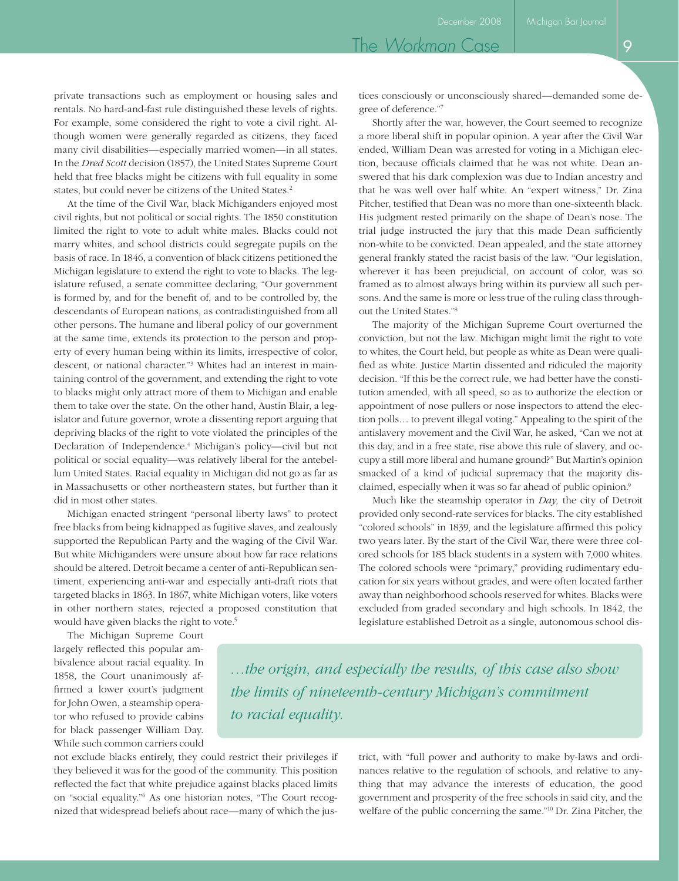private transactions such as employment or housing sales and rentals. No hard-and-fast rule distinguished these levels of rights. For example, some considered the right to vote a civil right. Although women were generally regarded as citizens, they faced many civil disabilities—especially married women—in all states. In the *Dred Scott* decision (1857), the United States Supreme Court held that free blacks might be citizens with full equality in some states, but could never be citizens of the United States.<sup>2</sup>

At the time of the Civil War, black Michiganders enjoyed most civil rights, but not political or social rights. The 1850 constitution limited the right to vote to adult white males. Blacks could not marry whites, and school districts could segregate pupils on the basis of race. In 1846, a convention of black citizens petitioned the Michigan legislature to extend the right to vote to blacks. The legislature refused, a senate committee declaring, "Our government is formed by, and for the benefit of, and to be controlled by, the descendants of European nations, as contradistinguished from all other persons. The humane and liberal policy of our government at the same time, extends its protection to the person and property of every human being within its limits, irrespective of color, descent, or national character."3 Whites had an interest in maintaining control of the government, and extending the right to vote to blacks might only attract more of them to Michigan and enable them to take over the state. On the other hand, Austin Blair, a legislator and future governor, wrote a dissenting report arguing that depriving blacks of the right to vote violated the principles of the Declaration of Independence.<sup>4</sup> Michigan's policy—civil but not political or social equality—was relatively liberal for the antebellum United States. Racial equality in Michigan did not go as far as in Massachusetts or other northeastern states, but further than it did in most other states.

Michigan enacted stringent "personal liberty laws" to protect free blacks from being kidnapped as fugitive slaves, and zealously supported the Republican Party and the waging of the Civil War. But white Michiganders were unsure about how far race relations should be altered. Detroit became a center of anti-Republican sentiment, experiencing anti-war and especially anti-draft riots that targeted blacks in 1863. In 1867, white Michigan voters, like voters in other northern states, rejected a proposed constitution that would have given blacks the right to vote.<sup>5</sup>

tices consciously or unconsciously shared—demanded some degree of deference."7

Shortly after the war, however, the Court seemed to recognize a more liberal shift in popular opinion. A year after the Civil War ended, William Dean was arrested for voting in a Michigan election, because officials claimed that he was not white. Dean answered that his dark complexion was due to Indian ancestry and that he was well over half white. An "expert witness," Dr. Zina Pitcher, testified that Dean was no more than one-sixteenth black. His judgment rested primarily on the shape of Dean's nose. The trial judge instructed the jury that this made Dean sufficiently non-white to be convicted. Dean appealed, and the state attorney general frankly stated the racist basis of the law. "Our legislation, wherever it has been prejudicial, on account of color, was so framed as to almost always bring within its purview all such persons. And the same is more or less true of the ruling class throughout the United States."8

The majority of the Michigan Supreme Court overturned the conviction, but not the law. Michigan might limit the right to vote to whites, the Court held, but people as white as Dean were qualified as white. Justice Martin dissented and ridiculed the majority decision. "If this be the correct rule, we had better have the constitution amended, with all speed, so as to authorize the election or appointment of nose pullers or nose inspectors to attend the election polls… to prevent illegal voting." Appealing to the spirit of the antislavery movement and the Civil War, he asked, "Can we not at this day, and in a free state, rise above this rule of slavery, and occupy a still more liberal and humane ground?" But Martin's opinion smacked of a kind of judicial supremacy that the majority disclaimed, especially when it was so far ahead of public opinion.<sup>9</sup>

Much like the steamship operator in *Day,* the city of Detroit provided only second-rate services for blacks. The city established "colored schools" in 1839, and the legislature affirmed this policy two years later. By the start of the Civil War, there were three colored schools for 185 black students in a system with 7,000 whites. The colored schools were "primary," providing rudimentary education for six years without grades, and were often located farther away than neighborhood schools reserved for whites. Blacks were excluded from graded secondary and high schools. In 1842, the legislature established Detroit as a single, autonomous school dis-

The Michigan Supreme Court largely reflected this popular ambivalence about racial equality. In 1858, the Court unanimously affirmed a lower court's judgment for John Owen, a steamship operator who refused to provide cabins for black passenger William Day. While such common carriers could

*…the origin, and especially the results, of this case also show the limits of nineteenth-century Michigan's commitment to racial equality.*

not exclude blacks entirely, they could restrict their privileges if they believed it was for the good of the community. This position reflected the fact that white prejudice against blacks placed limits on "social equality."6 As one historian notes, "The Court recognized that widespread beliefs about race—many of which the justrict, with "full power and authority to make by-laws and ordinances relative to the regulation of schools, and relative to anything that may advance the interests of education, the good government and prosperity of the free schools in said city, and the welfare of the public concerning the same."10 Dr. Zina Pitcher, the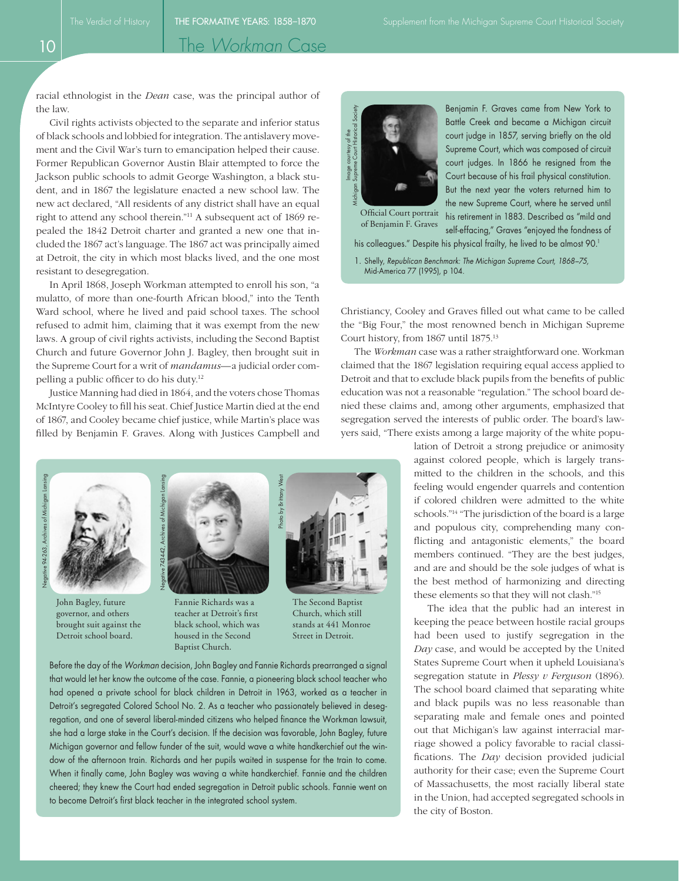The *Workman* Case

racial ethnologist in the *Dean* case, was the principal author of the law.

Civil rights activists objected to the separate and inferior status of black schools and lobbied for integration. The antislavery movement and the Civil War's turn to emancipation helped their cause. Former Republican Governor Austin Blair attempted to force the Jackson public schools to admit George Washington, a black student, and in 1867 the legislature enacted a new school law. The new act declared, "All residents of any district shall have an equal right to attend any school therein."11 A subsequent act of 1869 repealed the 1842 Detroit charter and granted a new one that included the 1867 act's language. The 1867 act was principally aimed at Detroit, the city in which most blacks lived, and the one most resistant to desegregation.

In April 1868, Joseph Workman attempted to enroll his son, "a mulatto, of more than one-fourth African blood," into the Tenth Ward school, where he lived and paid school taxes. The school refused to admit him, claiming that it was exempt from the new laws. A group of civil rights activists, including the Second Baptist Church and future Governor John J. Bagley, then brought suit in the Supreme Court for a writ of *mandamus—*a judicial order compelling a public officer to do his duty.12

Justice Manning had died in 1864, and the voters chose Thomas McIntyre Cooley to fill his seat. Chief Justice Martin died at the end of 1867, and Cooley became chief justice, while Martin's place was filled by Benjamin F. Graves. Along with Justices Campbell and



John Bagley, future governor, and others brought suit against the Detroit school board.



Fannie Richards was a teacher at Detroit's first black school, which was housed in the Second Baptist Church.



Photo by Brittany West

The Second Baptist Church, which still stands at 441 Monroe Street in Detroit

Before the day of the *Workman* decision, John Bagley and Fannie Richards prearranged a signal that would let her know the outcome of the case. Fannie, a pioneering black school teacher who had opened a private school for black children in Detroit in 1963, worked as a teacher in Detroit's segregated Colored School No. 2. As a teacher who passionately believed in desegregation, and one of several liberal-minded citizens who helped finance the Workman lawsuit, she had a large stake in the Court's decision. If the decision was favorable, John Bagley, future Michigan governor and fellow funder of the suit, would wave a white handkerchief out the window of the afternoon train. Richards and her pupils waited in suspense for the train to come. When it finally came, John Bagley was waving a white handkerchief. Fannie and the children cheered; they knew the Court had ended segregation in Detroit public schools. Fannie went on to become Detroit's first black teacher in the integrated school system.



Benjamin F. Graves came from New York to Battle Creek and became a Michigan circuit court judge in 1857, serving briefly on the old Supreme Court, which was composed of circuit court judges. In 1866 he resigned from the Court because of his frail physical constitution. But the next year the voters returned him to the new Supreme Court, where he served until his retirement in 1883. Described as "mild and

self-effacing," Graves "enjoyed the fondness of

Official Court portrait of Benjamin F. Graves

his colleagues." Despite his physical frailty, he lived to be almost 90.<sup>1</sup>

1. Shelly, *Republican Benchmark: The Michigan Supreme Court, 1868–75,* Mid-America 77 (1995), p 104.

Christiancy, Cooley and Graves filled out what came to be called the "Big Four," the most renowned bench in Michigan Supreme Court history, from 1867 until 1875.13

The *Workman* case was a rather straightforward one. Workman claimed that the 1867 legislation requiring equal access applied to Detroit and that to exclude black pupils from the benefits of public education was not a reasonable "regulation." The school board denied these claims and, among other arguments, emphasized that segregation served the interests of public order. The board's lawyers said, "There exists among a large majority of the white popu-

> lation of Detroit a strong prejudice or animosity against colored people, which is largely transmitted to the children in the schools, and this feeling would engender quarrels and contention if colored children were admitted to the white schools."14 "The jurisdiction of the board is a large and populous city, comprehending many conflicting and antagonistic elements," the board members continued. "They are the best judges, and are and should be the sole judges of what is the best method of harmonizing and directing these elements so that they will not clash."15

> The idea that the public had an interest in keeping the peace between hostile racial groups had been used to justify segregation in the *Day* case, and would be accepted by the United States Supreme Court when it upheld Louisiana's segregation statute in *Plessy v Ferguson* (1896). The school board claimed that separating white and black pupils was no less reasonable than separating male and female ones and pointed out that Michigan's law against interracial marriage showed a policy favorable to racial classifications. The *Day* decision provided judicial authority for their case; even the Supreme Court of Massachusetts, the most racially liberal state in the Union, had accepted segregated schools in the city of Boston.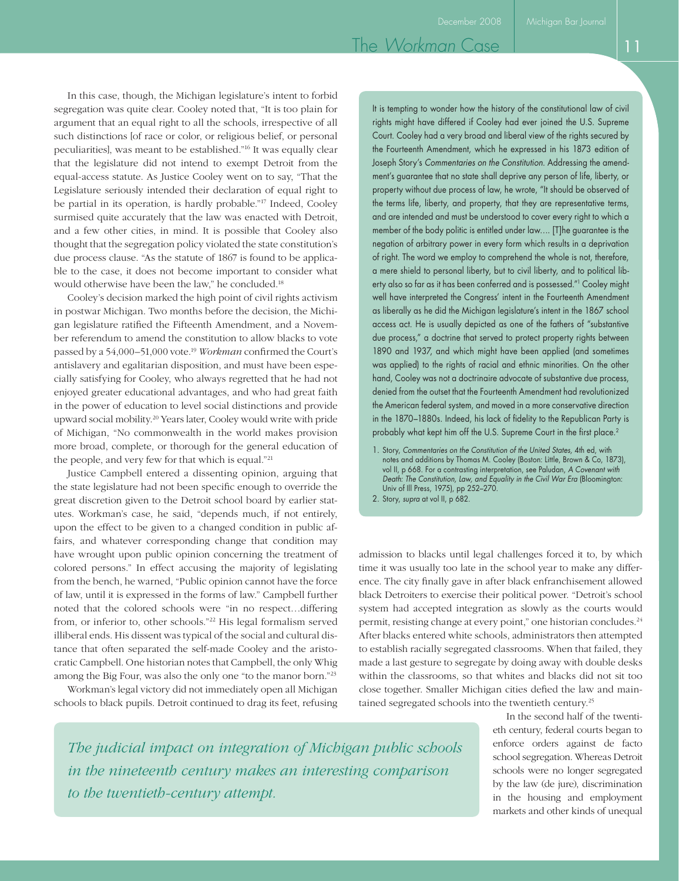## The *Workman* Case

In this case, though, the Michigan legislature's intent to forbid segregation was quite clear. Cooley noted that, "It is too plain for argument that an equal right to all the schools, irrespective of all such distinctions [of race or color, or religious belief, or personal peculiarities], was meant to be established."16 It was equally clear that the legislature did not intend to exempt Detroit from the equal-access statute. As Justice Cooley went on to say, "That the Legislature seriously intended their declaration of equal right to be partial in its operation, is hardly probable."17 Indeed, Cooley surmised quite accurately that the law was enacted with Detroit, and a few other cities, in mind. It is possible that Cooley also thought that the segregation policy violated the state constitution's due process clause. "As the statute of 1867 is found to be applicable to the case, it does not become important to consider what would otherwise have been the law," he concluded.18

Cooley's decision marked the high point of civil rights activism in postwar Michigan. Two months before the decision, the Michigan legislature ratified the Fifteenth Amendment, and a November referendum to amend the constitution to allow blacks to vote passed by a 54,000–51,000 vote.19 *Workman* confirmed the Court's antislavery and egalitarian disposition, and must have been especially satisfying for Cooley, who always regretted that he had not enjoyed greater educational advantages, and who had great faith in the power of education to level social distinctions and provide upward social mobility.20 Years later, Cooley would write with pride of Michigan, "No commonwealth in the world makes provision more broad, complete, or thorough for the general education of the people, and very few for that which is equal."21

Justice Campbell entered a dissenting opinion, arguing that the state legislature had not been specific enough to override the great discretion given to the Detroit school board by earlier statutes. Workman's case, he said, "depends much, if not entirely, upon the effect to be given to a changed condition in public affairs, and whatever corresponding change that condition may have wrought upon public opinion concerning the treatment of colored persons." In effect accusing the majority of legislating from the bench, he warned, "Public opinion cannot have the force of law, until it is expressed in the forms of law." Campbell further noted that the colored schools were "in no respect…differing from, or inferior to, other schools."22 His legal formalism served illiberal ends. His dissent was typical of the social and cultural distance that often separated the self-made Cooley and the aristocratic Campbell. One historian notes that Campbell, the only Whig among the Big Four, was also the only one "to the manor born."23

Workman's legal victory did not immediately open all Michigan schools to black pupils. Detroit continued to drag its feet, refusing

It is tempting to wonder how the history of the constitutional law of civil rights might have differed if Cooley had ever joined the U.S. Supreme Court. Cooley had a very broad and liberal view of the rights secured by the Fourteenth Amendment, which he expressed in his 1873 edition of Joseph Story's *Commentaries on the Constitution.* Addressing the amendment's guarantee that no state shall deprive any person of life, liberty, or property without due process of law, he wrote, "It should be observed of the terms life, liberty, and property, that they are representative terms, and are intended and must be understood to cover every right to which a member of the body politic is entitled under law…. [T]he guarantee is the negation of arbitrary power in every form which results in a deprivation of right. The word we employ to comprehend the whole is not, therefore, a mere shield to personal liberty, but to civil liberty, and to political liberty also so far as it has been conferred and is possessed."1 Cooley might well have interpreted the Congress' intent in the Fourteenth Amendment as liberally as he did the Michigan legislature's intent in the 1867 school access act. He is usually depicted as one of the fathers of "substantive due process," a doctrine that served to protect property rights between 1890 and 1937, and which might have been applied (and sometimes was applied) to the rights of racial and ethnic minorities. On the other hand, Cooley was not a doctrinaire advocate of substantive due process, denied from the outset that the Fourteenth Amendment had revolutionized the American federal system, and moved in a more conservative direction in the 1870–1880s. Indeed, his lack of fidelity to the Republican Party is probably what kept him off the U.S. Supreme Court in the first place.<sup>2</sup>

1. Story, *Commentaries on the Constitution of the United States,* 4th ed, with notes and additions by Thomas M. Cooley (Boston: Little, Brown & Co, 1873), vol II, p 668. For a contrasting interpretation, see Paludan, *A Covenant with Death: The Constitution, Law, and Equality in the Civil War Era* (Bloomington: Univ of Ill Press, 1975), pp 252–270.

2. Story, *supra* at vol II, p 682.

admission to blacks until legal challenges forced it to, by which time it was usually too late in the school year to make any difference. The city finally gave in after black enfranchisement allowed black Detroiters to exercise their political power. "Detroit's school system had accepted integration as slowly as the courts would permit, resisting change at every point," one historian concludes.<sup>24</sup> After blacks entered white schools, administrators then attempted to establish racially segregated classrooms. When that failed, they made a last gesture to segregate by doing away with double desks within the classrooms, so that whites and blacks did not sit too close together. Smaller Michigan cities defied the law and maintained segregated schools into the twentieth century.<sup>25</sup>

> In the second half of the twentieth century, federal courts began to enforce orders against de facto school segregation. Whereas Detroit schools were no longer segregated by the law (de jure), discrimination in the housing and employment markets and other kinds of unequal

*The judicial impact on integration of Michigan public schools in the nineteenth century makes an interesting comparison to the twentieth-century attempt.*